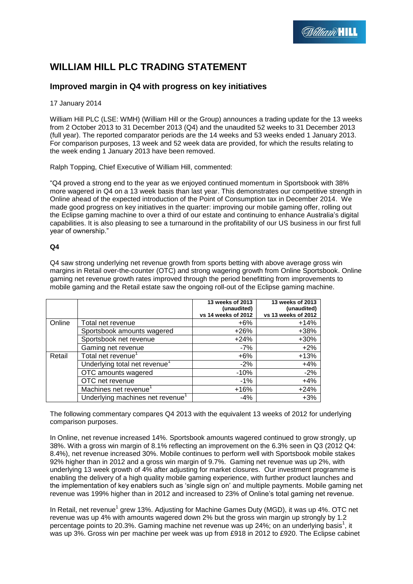# **WILLIAM HILL PLC TRADING STATEMENT**

## **Improved margin in Q4 with progress on key initiatives**

## 17 January 2014

William Hill PLC (LSE: WMH) (William Hill or the Group) announces a trading update for the 13 weeks from 2 October 2013 to 31 December 2013 (Q4) and the unaudited 52 weeks to 31 December 2013 (full year). The reported comparator periods are the 14 weeks and 53 weeks ended 1 January 2013. For comparison purposes, 13 week and 52 week data are provided, for which the results relating to the week ending 1 January 2013 have been removed.

Ralph Topping, Chief Executive of William Hill, commented:

"Q4 proved a strong end to the year as we enjoyed continued momentum in Sportsbook with 38% more wagered in Q4 on a 13 week basis than last year. This demonstrates our competitive strength in Online ahead of the expected introduction of the Point of Consumption tax in December 2014. We made good progress on key initiatives in the quarter: improving our mobile gaming offer, rolling out the Eclipse gaming machine to over a third of our estate and continuing to enhance Australia's digital capabilities. It is also pleasing to see a turnaround in the profitability of our US business in our first full year of ownership."

## **Q4**

Q4 saw strong underlying net revenue growth from sports betting with above average gross win margins in Retail over-the-counter (OTC) and strong wagering growth from Online Sportsbook. Online gaming net revenue growth rates improved through the period benefitting from improvements to mobile gaming and the Retail estate saw the ongoing roll-out of the Eclipse gaming machine.

|        |                                              | 13 weeks of 2013    | 13 weeks of 2013    |
|--------|----------------------------------------------|---------------------|---------------------|
|        |                                              | (unaudited)         | (unaudited)         |
|        |                                              | vs 14 weeks of 2012 | vs 13 weeks of 2012 |
| Online | Total net revenue                            | $+6%$               | $+14%$              |
|        | Sportsbook amounts wagered                   | $+26%$              | +38%                |
|        | Sportsbook net revenue                       | $+24%$              | $+30%$              |
|        | Gaming net revenue                           | -7%                 | $+2%$               |
| Retail | Total net revenue <sup>1</sup>               | $+6%$               | $+13%$              |
|        | Underlying total net revenue <sup>1</sup>    | $-2%$               | $+4%$               |
|        | OTC amounts wagered                          | $-10%$              | $-2%$               |
|        | OTC net revenue                              | $-1%$               | $+4%$               |
|        | Machines net revenue                         | $+16%$              | $+24%$              |
|        | Underlying machines net revenue <sup>1</sup> | $-4%$               | $+3%$               |

The following commentary compares Q4 2013 with the equivalent 13 weeks of 2012 for underlying comparison purposes.

In Online, net revenue increased 14%. Sportsbook amounts wagered continued to grow strongly, up 38%. With a gross win margin of 8.1% reflecting an improvement on the 6.3% seen in Q3 (2012 Q4: 8.4%), net revenue increased 30%. Mobile continues to perform well with Sportsbook mobile stakes 92% higher than in 2012 and a gross win margin of 9.7%. Gaming net revenue was up 2%, with underlying 13 week growth of 4% after adjusting for market closures. Our investment programme is enabling the delivery of a high quality mobile gaming experience, with further product launches and the implementation of key enablers such as 'single sign on' and multiple payments. Mobile gaming net revenue was 199% higher than in 2012 and increased to 23% of Online's total gaming net revenue.

In Retail, net revenue<sup>1</sup> grew 13%. Adjusting for Machine Games Duty (MGD), it was up 4%. OTC net revenue was up 4% with amounts wagered down 2% but the gross win margin up strongly by 1.2 percentage points to 20.3%. Gaming machine net revenue was up 24%; on an underlying basis<sup>1</sup>, it was up 3%. Gross win per machine per week was up from £918 in 2012 to £920. The Eclipse cabinet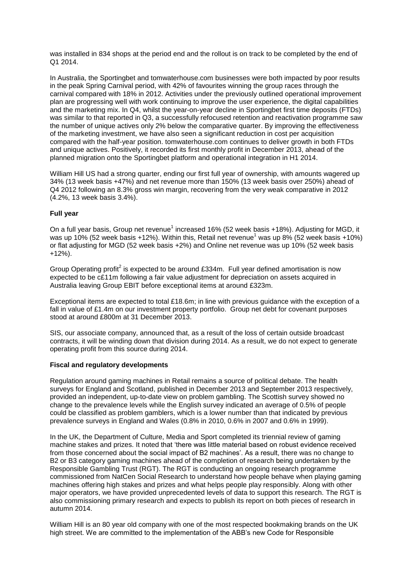was installed in 834 shops at the period end and the rollout is on track to be completed by the end of Q1 2014.

In Australia, the Sportingbet and tomwaterhouse.com businesses were both impacted by poor results in the peak Spring Carnival period, with 42% of favourites winning the group races through the carnival compared with 18% in 2012. Activities under the previously outlined operational improvement plan are progressing well with work continuing to improve the user experience, the digital capabilities and the marketing mix. In Q4, whilst the year-on-year decline in Sportingbet first time deposits (FTDs) was similar to that reported in Q3, a successfully refocused retention and reactivation programme saw the number of unique actives only 2% below the comparative quarter. By improving the effectiveness of the marketing investment, we have also seen a significant reduction in cost per acquisition compared with the half-year position. tomwaterhouse.com continues to deliver growth in both FTDs and unique actives. Positively, it recorded its first monthly profit in December 2013, ahead of the planned migration onto the Sportingbet platform and operational integration in H1 2014.

William Hill US had a strong quarter, ending our first full year of ownership, with amounts wagered up 34% (13 week basis +47%) and net revenue more than 150% (13 week basis over 250%) ahead of Q4 2012 following an 8.3% gross win margin, recovering from the very weak comparative in 2012 (4.2%, 13 week basis 3.4%).

## **Full year**

On a full year basis, Group net revenue<sup>1</sup> increased 16% (52 week basis +18%). Adjusting for MGD, it was up 10% (52 week basis +12%). Within this, Retail net revenue<sup>1</sup> was up 8% (52 week basis +10%) or flat adjusting for MGD (52 week basis +2%) and Online net revenue was up 10% (52 week basis +12%).

Group Operating profit<sup>2</sup> is expected to be around £334m. Full year defined amortisation is now expected to be c£11m following a fair value adjustment for depreciation on assets acquired in Australia leaving Group EBIT before exceptional items at around £323m.

Exceptional items are expected to total £18.6m; in line with previous guidance with the exception of a fall in value of £1.4m on our investment property portfolio. Group net debt for covenant purposes stood at around £800m at 31 December 2013.

SIS, our associate company, announced that, as a result of the loss of certain outside broadcast contracts, it will be winding down that division during 2014. As a result, we do not expect to generate operating profit from this source during 2014.

### **Fiscal and regulatory developments**

Regulation around gaming machines in Retail remains a source of political debate. The health surveys for England and Scotland, published in December 2013 and September 2013 respectively, provided an independent, up-to-date view on problem gambling. The Scottish survey showed no change to the prevalence levels while the English survey indicated an average of 0.5% of people could be classified as problem gamblers, which is a lower number than that indicated by previous prevalence surveys in England and Wales (0.8% in 2010, 0.6% in 2007 and 0.6% in 1999).

In the UK, the Department of Culture, Media and Sport completed its triennial review of gaming machine stakes and prizes. It noted that 'there was little material based on robust evidence received from those concerned about the social impact of B2 machines'. As a result, there was no change to B2 or B3 category gaming machines ahead of the completion of research being undertaken by the Responsible Gambling Trust (RGT). The RGT is conducting an ongoing research programme commissioned from NatCen Social Research to understand how people behave when playing gaming machines offering high stakes and prizes and what helps people play responsibly. Along with other major operators, we have provided unprecedented levels of data to support this research. The RGT is also commissioning primary research and expects to publish its report on both pieces of research in autumn 2014.

William Hill is an 80 year old company with one of the most respected bookmaking brands on the UK high street. We are committed to the implementation of the ABB's new Code for Responsible